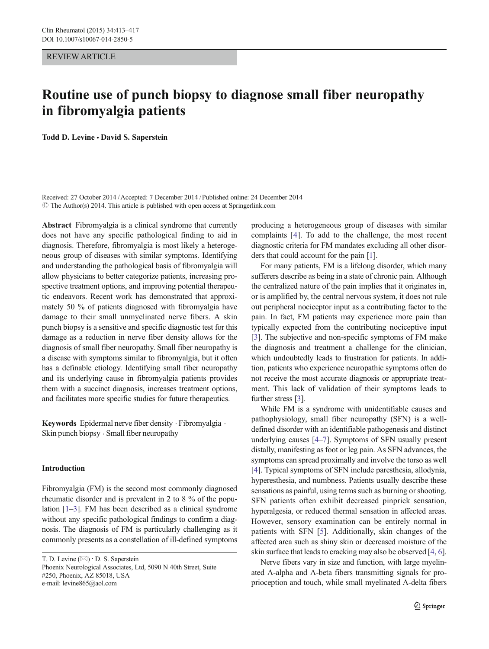## REVIEW ARTICLE

# Routine use of punch biopsy to diagnose small fiber neuropathy in fibromyalgia patients

Todd D. Levine • David S. Saperstein

Received: 27 October 2014 /Accepted: 7 December 2014 /Published online: 24 December 2014  $\odot$  The Author(s) 2014. This article is published with open access at Springerlink.com

Abstract Fibromyalgia is a clinical syndrome that currently does not have any specific pathological finding to aid in diagnosis. Therefore, fibromyalgia is most likely a heterogeneous group of diseases with similar symptoms. Identifying and understanding the pathological basis of fibromyalgia will allow physicians to better categorize patients, increasing prospective treatment options, and improving potential therapeutic endeavors. Recent work has demonstrated that approximately 50 % of patients diagnosed with fibromyalgia have damage to their small unmyelinated nerve fibers. A skin punch biopsy is a sensitive and specific diagnostic test for this damage as a reduction in nerve fiber density allows for the diagnosis of small fiber neuropathy. Small fiber neuropathy is a disease with symptoms similar to fibromyalgia, but it often has a definable etiology. Identifying small fiber neuropathy and its underlying cause in fibromyalgia patients provides them with a succinct diagnosis, increases treatment options, and facilitates more specific studies for future therapeutics.

Keywords Epidermal nerve fiber density . Fibromyalgia . Skin punch biopsy . Small fiber neuropathy

## Introduction

Fibromyalgia (FM) is the second most commonly diagnosed rheumatic disorder and is prevalent in 2 to 8 % of the population [[1](#page-3-0)–[3](#page-3-0)]. FM has been described as a clinical syndrome without any specific pathological findings to confirm a diagnosis. The diagnosis of FM is particularly challenging as it commonly presents as a constellation of ill-defined symptoms

T. D. Levine  $(\boxtimes) \cdot$  D. S. Saperstein Phoenix Neurological Associates, Ltd, 5090 N 40th Street, Suite #250, Phoenix, AZ 85018, USA e-mail: levine865@aol.com

producing a heterogeneous group of diseases with similar complaints [\[4](#page-3-0)]. To add to the challenge, the most recent diagnostic criteria for FM mandates excluding all other disorders that could account for the pain [[1\]](#page-3-0).

For many patients, FM is a lifelong disorder, which many sufferers describe as being in a state of chronic pain. Although the centralized nature of the pain implies that it originates in, or is amplified by, the central nervous system, it does not rule out peripheral nociceptor input as a contributing factor to the pain. In fact, FM patients may experience more pain than typically expected from the contributing nociceptive input [\[3](#page-3-0)]. The subjective and non-specific symptoms of FM make the diagnosis and treatment a challenge for the clinician, which undoubtedly leads to frustration for patients. In addition, patients who experience neuropathic symptoms often do not receive the most accurate diagnosis or appropriate treatment. This lack of validation of their symptoms leads to further stress [\[3\]](#page-3-0).

While FM is a syndrome with unidentifiable causes and pathophysiology, small fiber neuropathy (SFN) is a welldefined disorder with an identifiable pathogenesis and distinct underlying causes [\[4](#page-3-0)–[7](#page-3-0)]. Symptoms of SFN usually present distally, manifesting as foot or leg pain. As SFN advances, the symptoms can spread proximally and involve the torso as well [\[4](#page-3-0)]. Typical symptoms of SFN include paresthesia, allodynia, hyperesthesia, and numbness. Patients usually describe these sensations as painful, using terms such as burning or shooting. SFN patients often exhibit decreased pinprick sensation, hyperalgesia, or reduced thermal sensation in affected areas. However, sensory examination can be entirely normal in patients with SFN [[5\]](#page-3-0). Additionally, skin changes of the affected area such as shiny skin or decreased moisture of the skin surface that leads to cracking may also be observed [\[4](#page-3-0), [6\]](#page-3-0).

Nerve fibers vary in size and function, with large myelinated A-alpha and A-beta fibers transmitting signals for proprioception and touch, while small myelinated A-delta fibers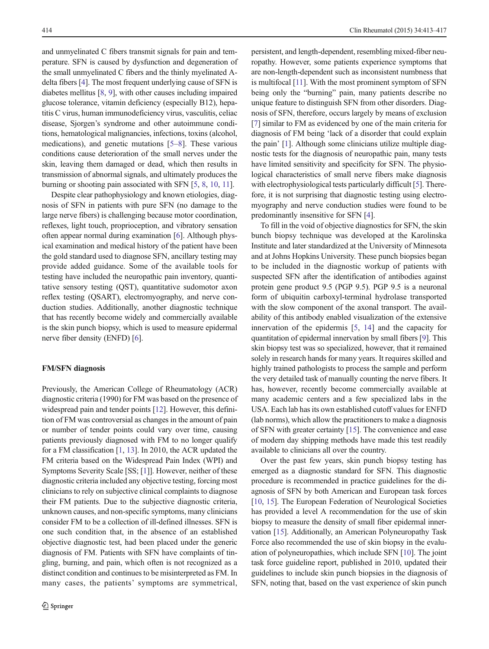and unmyelinated C fibers transmit signals for pain and temperature. SFN is caused by dysfunction and degeneration of the small unmyelinated C fibers and the thinly myelinated Adelta fibers [\[4\]](#page-3-0). The most frequent underlying cause of SFN is diabetes mellitus [\[8,](#page-3-0) [9\]](#page-3-0), with other causes including impaired glucose tolerance, vitamin deficiency (especially B12), hepatitis C virus, human immunodeficiency virus, vasculitis, celiac disease, Sjorgen's syndrome and other autoimmune conditions, hematological malignancies, infections, toxins (alcohol, medications), and genetic mutations [[5](#page-3-0)–[8](#page-3-0)]. These various conditions cause deterioration of the small nerves under the skin, leaving them damaged or dead, which then results in transmission of abnormal signals, and ultimately produces the burning or shooting pain associated with SFN [[5,](#page-3-0) [8,](#page-3-0) [10,](#page-3-0) [11](#page-3-0)].

Despite clear pathophysiology and known etiologies, diagnosis of SFN in patients with pure SFN (no damage to the large nerve fibers) is challenging because motor coordination, reflexes, light touch, proprioception, and vibratory sensation often appear normal during examination [[6](#page-3-0)]. Although physical examination and medical history of the patient have been the gold standard used to diagnose SFN, ancillary testing may provide added guidance. Some of the available tools for testing have included the neuropathic pain inventory, quantitative sensory testing (QST), quantitative sudomotor axon reflex testing (QSART), electromyography, and nerve conduction studies. Additionally, another diagnostic technique that has recently become widely and commercially available is the skin punch biopsy, which is used to measure epidermal nerve fiber density (ENFD) [\[6\]](#page-3-0).

## FM/SFN diagnosis

Previously, the American College of Rheumatology (ACR) diagnostic criteria (1990) for FM was based on the presence of widespread pain and tender points [\[12\]](#page-3-0). However, this definition of FM was controversial as changes in the amount of pain or number of tender points could vary over time, causing patients previously diagnosed with FM to no longer qualify for a FM classification [\[1](#page-3-0), [13\]](#page-4-0). In 2010, the ACR updated the FM criteria based on the Widespread Pain Index (WPI) and Symptoms Severity Scale [SS; [\[1](#page-3-0)]]. However, neither of these diagnostic criteria included any objective testing, forcing most clinicians to rely on subjective clinical complaints to diagnose their FM patients. Due to the subjective diagnostic criteria, unknown causes, and non-specific symptoms, many clinicians consider FM to be a collection of ill-defined illnesses. SFN is one such condition that, in the absence of an established objective diagnostic test, had been placed under the generic diagnosis of FM. Patients with SFN have complaints of tingling, burning, and pain, which often is not recognized as a distinct condition and continues to be misinterpreted as FM. In many cases, the patients' symptoms are symmetrical, persistent, and length-dependent, resembling mixed-fiber neuropathy. However, some patients experience symptoms that are non-length-dependent such as inconsistent numbness that is multifocal [\[11\]](#page-3-0). With the most prominent symptom of SFN being only the "burning" pain, many patients describe no unique feature to distinguish SFN from other disorders. Diagnosis of SFN, therefore, occurs largely by means of exclusion [\[7](#page-3-0)] similar to FM as evidenced by one of the main criteria for diagnosis of FM being 'lack of a disorder that could explain the pain' [[1](#page-3-0)]. Although some clinicians utilize multiple diagnostic tests for the diagnosis of neuropathic pain, many tests have limited sensitivity and specificity for SFN. The physiological characteristics of small nerve fibers make diagnosis with electrophysiological tests particularly difficult [\[5](#page-3-0)]. Therefore, it is not surprising that diagnostic testing using electromyography and nerve conduction studies were found to be predominantly insensitive for SFN [[4\]](#page-3-0).

To fill in the void of objective diagnostics for SFN, the skin bunch biopsy technique was developed at the Karolinska Institute and later standardized at the University of Minnesota and at Johns Hopkins University. These punch biopsies began to be included in the diagnostic workup of patients with suspected SFN after the identification of antibodies against protein gene product 9.5 (PGP 9.5). PGP 9.5 is a neuronal form of ubiquitin carboxyl-terminal hydrolase transported with the slow component of the axonal transport. The availability of this antibody enabled visualization of the extensive innervation of the epidermis [\[5](#page-3-0), [14\]](#page-4-0) and the capacity for quantitation of epidermal innervation by small fibers [\[9](#page-3-0)]. This skin biopsy test was so specialized, however, that it remained solely in research hands for many years. It requires skilled and highly trained pathologists to process the sample and perform the very detailed task of manually counting the nerve fibers. It has, however, recently become commercially available at many academic centers and a few specialized labs in the USA. Each lab has its own established cutoff values for ENFD (lab norms), which allow the practitioners to make a diagnosis of SFN with greater certainty [[15\]](#page-4-0). The convenience and ease of modern day shipping methods have made this test readily available to clinicians all over the country.

Over the past few years, skin punch biopsy testing has emerged as a diagnostic standard for SFN. This diagnostic procedure is recommended in practice guidelines for the diagnosis of SFN by both American and European task forces [\[10](#page-3-0), [15](#page-4-0)]. The European Federation of Neurological Societies has provided a level A recommendation for the use of skin biopsy to measure the density of small fiber epidermal innervation [\[15](#page-4-0)]. Additionally, an American Polyneuropathy Task Force also recommended the use of skin biopsy in the evaluation of polyneuropathies, which include SFN [\[10\]](#page-3-0). The joint task force guideline report, published in 2010, updated their guidelines to include skin punch biopsies in the diagnosis of SFN, noting that, based on the vast experience of skin punch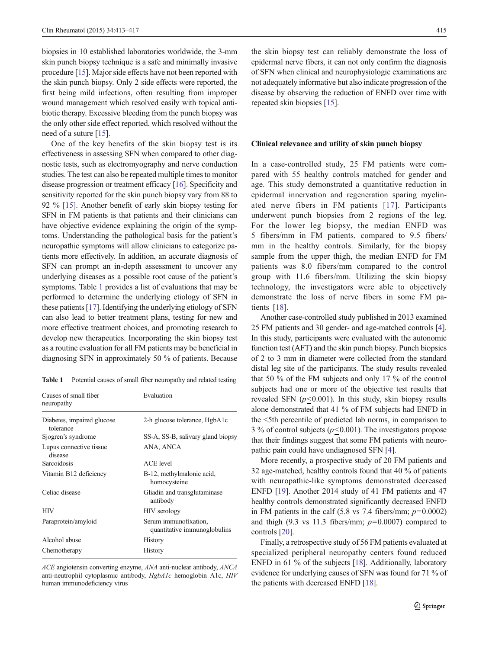biopsies in 10 established laboratories worldwide, the 3-mm skin punch biopsy technique is a safe and minimally invasive procedure [[15\]](#page-4-0). Major side effects have not been reported with the skin punch biopsy. Only 2 side effects were reported, the first being mild infections, often resulting from improper wound management which resolved easily with topical antibiotic therapy. Excessive bleeding from the punch biopsy was the only other side effect reported, which resolved without the need of a suture [\[15\]](#page-4-0).

One of the key benefits of the skin biopsy test is its effectiveness in assessing SFN when compared to other diagnostic tests, such as electromyography and nerve conduction studies. The test can also be repeated multiple times to monitor disease progression or treatment efficacy [[16](#page-4-0)]. Specificity and sensitivity reported for the skin punch biopsy vary from 88 to 92 % [\[15](#page-4-0)]. Another benefit of early skin biopsy testing for SFN in FM patients is that patients and their clinicians can have objective evidence explaining the origin of the symptoms. Understanding the pathological basis for the patient's neuropathic symptoms will allow clinicians to categorize patients more effectively. In addition, an accurate diagnosis of SFN can prompt an in-depth assessment to uncover any underlying diseases as a possible root cause of the patient's symptoms. Table 1 provides a list of evaluations that may be performed to determine the underlying etiology of SFN in these patients [[17\]](#page-4-0). Identifying the underlying etiology of SFN can also lead to better treatment plans, testing for new and more effective treatment choices, and promoting research to develop new therapeutics. Incorporating the skin biopsy test as a routine evaluation for all FM patients may be beneficial in diagnosing SFN in approximately 50 % of patients. Because

Table 1 Potential causes of small fiber neuropathy and related testing

| Causes of small fiber<br>neuropathy     | Evaluation                                            |
|-----------------------------------------|-------------------------------------------------------|
| Diabetes, impaired glucose<br>tolerance | 2-h glucose tolerance, HgbA1c                         |
| Sjogren's syndrome                      | SS-A, SS-B, salivary gland biopsy                     |
| Lupus connective tissue<br>disease      | ANA, ANCA                                             |
| Sarcoidosis                             | <b>ACE</b> level                                      |
| Vitamin B12 deficiency                  | B-12, methylmalonic acid,<br>homocysteine             |
| Celiac disease                          | Gliadin and transglutaminase<br>antibody              |
| <b>HIV</b>                              | HIV serology                                          |
| Paraprotein/amyloid                     | Serum immunofixation,<br>quantitative immunoglobulins |
| Alcohol abuse                           | History                                               |
| Chemotherapy                            | History                                               |

ACE angiotensin converting enzyme, ANA anti-nuclear antibody, ANCA anti-neutrophil cytoplasmic antibody, HgbA1c hemoglobin A1c, HIV human immunodeficiency virus

the skin biopsy test can reliably demonstrate the loss of epidermal nerve fibers, it can not only confirm the diagnosis of SFN when clinical and neurophysiologic examinations are not adequately informative but also indicate progression of the disease by observing the reduction of ENFD over time with repeated skin biopsies [[15](#page-4-0)].

#### Clinical relevance and utility of skin punch biopsy

In a case-controlled study, 25 FM patients were compared with 55 healthy controls matched for gender and age. This study demonstrated a quantitative reduction in epidermal innervation and regeneration sparing myelinated nerve fibers in FM patients [[17\]](#page-4-0). Participants underwent punch biopsies from 2 regions of the leg. For the lower leg biopsy, the median ENFD was 5 fibers/mm in FM patients, compared to 9.5 fibers/ mm in the healthy controls. Similarly, for the biopsy sample from the upper thigh, the median ENFD for FM patients was 8.0 fibers/mm compared to the control group with 11.6 fibers/mm. Utilizing the skin biopsy technology, the investigators were able to objectively demonstrate the loss of nerve fibers in some FM patients [[18\]](#page-4-0).

Another case-controlled study published in 2013 examined 25 FM patients and 30 gender- and age-matched controls [[4\]](#page-3-0). In this study, participants were evaluated with the autonomic function test (AFT) and the skin punch biopsy. Punch biopsies of 2 to 3 mm in diameter were collected from the standard distal leg site of the participants. The study results revealed that 50 % of the FM subjects and only 17 % of the control subjects had one or more of the objective test results that revealed SFN  $(p<0.001)$ . In this study, skin biopsy results alone demonstrated that 41 % of FM subjects had ENFD in the <5th percentile of predicted lab norms, in comparison to 3 % of control subjects ( $p$ <0.001). The investigators propose that their findings suggest that some FM patients with neuropathic pain could have undiagnosed SFN [\[4](#page-3-0)].

More recently, a prospective study of 20 FM patients and 32 age-matched, healthy controls found that 40 % of patients with neuropathic-like symptoms demonstrated decreased ENFD [\[19](#page-4-0)]. Another 2014 study of 41 FM patients and 47 healthy controls demonstrated significantly decreased ENFD in FM patients in the calf (5.8 vs 7.4 fibers/mm;  $p=0.0002$ ) and thigh (9.3 vs 11.3 fibers/mm;  $p=0.0007$ ) compared to controls [\[20\]](#page-4-0).

Finally, a retrospective study of 56 FM patients evaluated at specialized peripheral neuropathy centers found reduced ENFD in 61 % of the subjects [[18](#page-4-0)]. Additionally, laboratory evidence for underlying causes of SFN was found for 71 % of the patients with decreased ENFD [\[18\]](#page-4-0).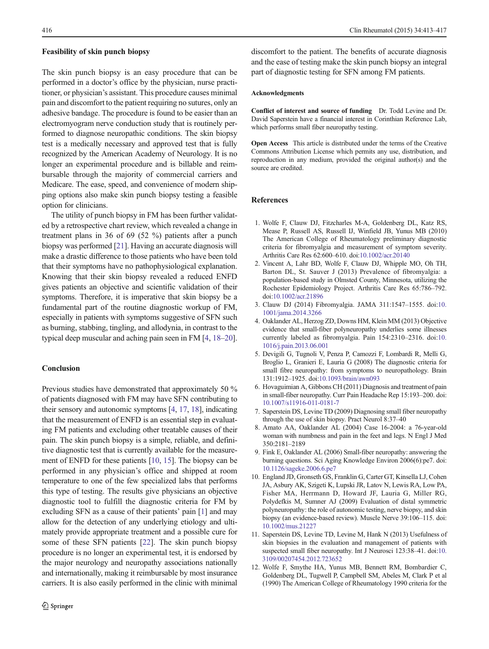#### <span id="page-3-0"></span>Feasibility of skin punch biopsy

The skin punch biopsy is an easy procedure that can be performed in a doctor's office by the physician, nurse practitioner, or physician's assistant. This procedure causes minimal pain and discomfort to the patient requiring no sutures, only an adhesive bandage. The procedure is found to be easier than an electromyogram nerve conduction study that is routinely performed to diagnose neuropathic conditions. The skin biopsy test is a medically necessary and approved test that is fully recognized by the American Academy of Neurology. It is no longer an experimental procedure and is billable and reimbursable through the majority of commercial carriers and Medicare. The ease, speed, and convenience of modern shipping options also make skin punch biopsy testing a feasible option for clinicians.

The utility of punch biopsy in FM has been further validated by a retrospective chart review, which revealed a change in treatment plans in 36 of 69 (52 %) patients after a punch biopsy was performed [[21\]](#page-4-0). Having an accurate diagnosis will make a drastic difference to those patients who have been told that their symptoms have no pathophysiological explanation. Knowing that their skin biopsy revealed a reduced ENFD gives patients an objective and scientific validation of their symptoms. Therefore, it is imperative that skin biopsy be a fundamental part of the routine diagnostic workup of FM, especially in patients with symptoms suggestive of SFN such as burning, stabbing, tingling, and allodynia, in contrast to the typical deep muscular and aching pain seen in FM [4, [18](#page-4-0)–[20\]](#page-4-0).

## Conclusion

Previous studies have demonstrated that approximately 50 % of patients diagnosed with FM may have SFN contributing to their sensory and autonomic symptoms [4, [17,](#page-4-0) [18\]](#page-4-0), indicating that the measurement of ENFD is an essential step in evaluating FM patients and excluding other treatable causes of their pain. The skin punch biopsy is a simple, reliable, and definitive diagnostic test that is currently available for the measurement of ENFD for these patients [10, [15\]](#page-4-0). The biopsy can be performed in any physician's office and shipped at room temperature to one of the few specialized labs that performs this type of testing. The results give physicians an objective diagnostic tool to fulfill the diagnostic criteria for FM by excluding SFN as a cause of their patients' pain [1] and may allow for the detection of any underlying etiology and ultimately provide appropriate treatment and a possible cure for some of these SFN patients [[22\]](#page-4-0). The skin punch biopsy procedure is no longer an experimental test, it is endorsed by the major neurology and neuropathy associations nationally and internationally, making it reimbursable by most insurance carriers. It is also easily performed in the clinic with minimal

discomfort to the patient. The benefits of accurate diagnosis and the ease of testing make the skin punch biopsy an integral part of diagnostic testing for SFN among FM patients.

### Acknowledgments

Conflict of interest and source of funding Dr. Todd Levine and Dr. David Saperstein have a financial interest in Corinthian Reference Lab, which performs small fiber neuropathy testing.

Open Access This article is distributed under the terms of the Creative Commons Attribution License which permits any use, distribution, and reproduction in any medium, provided the original author(s) and the source are credited.

## References

- 1. Wolfe F, Clauw DJ, Fitzcharles M-A, Goldenberg DL, Katz RS, Mease P, Russell AS, Russell IJ, Winfield JB, Yunus MB (2010) The American College of Rheumatology preliminary diagnostic criteria for fibromyalgia and measurement of symptom severity. Arthritis Care Res 62:600–610. doi[:10.1002/acr.20140](http://dx.doi.org/10.1002/acr.20140)
- 2. Vincent A, Lahr BD, Wolfe F, Clauw DJ, Whipple MO, Oh TH, Barton DL, St. Sauver J (2013) Prevalence of fibromyalgia: a population-based study in Olmsted County, Minnesota, utilizing the Rochester Epidemiology Project. Arthritis Care Res 65:786–792. doi:[10.1002/acr.21896](http://dx.doi.org/10.1002/acr.21896)
- 3. Clauw DJ (2014) Fibromyalgia. JAMA 311:1547–1555. doi:[10.](http://dx.doi.org/10.1001/jama.2014.3266) [1001/jama.2014.3266](http://dx.doi.org/10.1001/jama.2014.3266)
- 4. Oaklander AL, Herzog ZD, Downs HM, Klein MM (2013) Objective evidence that small-fiber polyneuropathy underlies some illnesses currently labeled as fibromyalgia. Pain 154:2310–2316. doi:[10.](http://dx.doi.org/10.1016/j.pain.2013.06.001) [1016/j.pain.2013.06.001](http://dx.doi.org/10.1016/j.pain.2013.06.001)
- 5. Devigili G, Tugnoli V, Penza P, Camozzi F, Lombardi R, Melli G, Broglio L, Granieri E, Lauria G (2008) The diagnostic criteria for small fibre neuropathy: from symptoms to neuropathology. Brain 131:1912–1925. doi:[10.1093/brain/awn093](http://dx.doi.org/10.1093/brain/awn093)
- 6. Hovaguimian A, Gibbons CH (2011) Diagnosis and treatment of pain in small-fiber neuropathy. Curr Pain Headache Rep 15:193–200. doi: [10.1007/s11916-011-0181-7](http://dx.doi.org/10.1007/s11916-011-0181-7)
- 7. Saperstein DS, Levine TD (2009) Diagnosing small fiber neuropathy through the use of skin biopsy. Pract Neurol 8:37–40
- 8. Amato AA, Oaklander AL (2004) Case 16-2004: a 76-year-old woman with numbness and pain in the feet and legs. N Engl J Med 350:2181–2189
- 9. Fink E, Oaklander AL (2006) Small-fiber neuropathy: answering the burning questions. Sci Aging Knowledge Environ 2006(6):pe7. doi: [10.1126/sageke.2006.6.pe7](http://dx.doi.org/10.1126/sageke.2006.6.pe7)
- 10. England JD, Gronseth GS, Franklin G, Carter GT, Kinsella LJ, Cohen JA, Asbury AK, Szigeti K, Lupski JR, Latov N, Lewis RA, Low PA, Fisher MA, Herrmann D, Howard JF, Lauria G, Miller RG, Polydefkis M, Sumner AJ (2009) Evaluation of distal symmetric polyneuropathy: the role of autonomic testing, nerve biopsy, and skin biopsy (an evidence-based review). Muscle Nerve 39:106–115. doi: [10.1002/mus.21227](http://dx.doi.org/10.1002/mus.21227)
- 11. Saperstein DS, Levine TD, Levine M, Hank N (2013) Usefulness of skin biopsies in the evaluation and management of patients with suspected small fiber neuropathy. Int J Neurosci 123:38–41. doi[:10.](http://dx.doi.org/10.3109/00207454.2012.723652) [3109/00207454.2012.723652](http://dx.doi.org/10.3109/00207454.2012.723652)
- 12. Wolfe F, Smythe HA, Yunus MB, Bennett RM, Bombardier C, Goldenberg DL, Tugwell P, Campbell SM, Abeles M, Clark P et al (1990) The American College of Rheumatology 1990 criteria for the